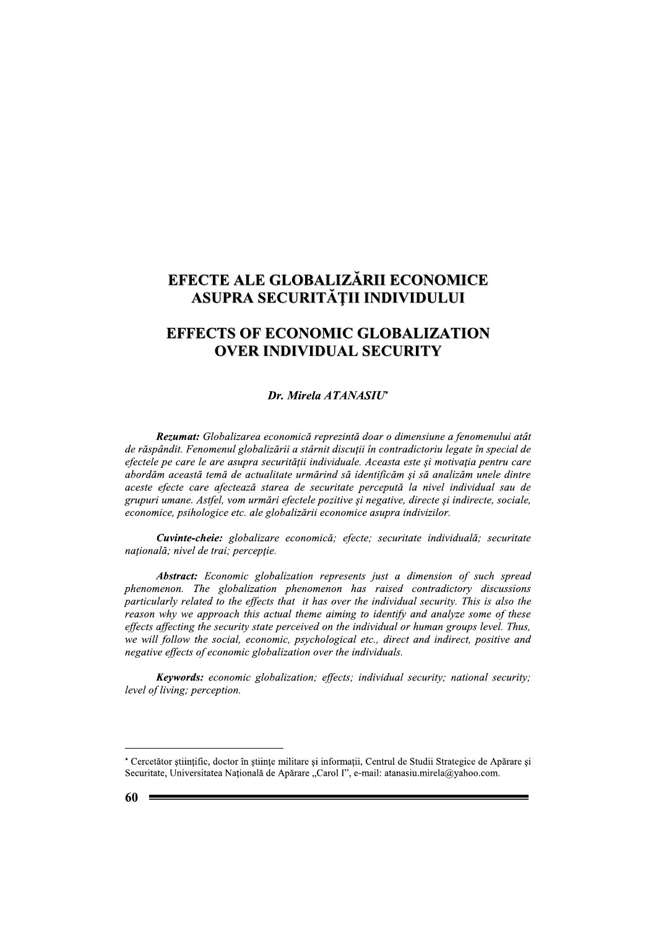# EFECTE ALE GLOBALIZARII ECONOMICE ASUPRA SECURITĂȚII INDIVIDULUI

## $\mathbf{r}$ EFFECTS OF ECONOMIC GLOBALIZATION **OVER INDIVIDUAL SECURITY**

LE GLOBALIZARII ECONOMICE<br>
A SECURITĂȚII INDIVIDULUI<br>
F ECONOMIC GLOBALIZATION<br>
R INDIVIDUAL SECURITY<br>
Dr. Mirela ATANASIU<sup>\*</sup><br>
cea economică reprezintă doar o dimensiune a fenomen<br>
bbalizării a stârnit discuții în contrad Rezumat: Globalizarea economică reprezintă doar o dimensiune a fenomenului atât de răspândit. Fenomenul globalizării a stârnit discuții în contradictoriu legate în special de efectele pe care le are asupra securității individuale. Aceasta este și motivația pentru care abordăm această temă de actualitate urmărind să identificăm și să analizăm unele dintre aceste efecte care afectează starea de securitate percepută la nivel individual sau de grupuri umane. Astfel, vom urmări efectele pozitive și negative, directe și indirecte, sociale, economice, psihologice etc. ale globalizării economice asupra indivizilor.

 $\mathbb{Z}$ **Cuvinte-cheie:** globalizare economică; efecte; securitate individuală; securitate natională: nivel de trai: perceptie.

**Abstract:** Economic globalization represents just a dimension of such spread  $phenomenon.$  The globalization phenomenon has raised contradictory discussions particularly related to the effects that it has over the individual security. This is also the reason why we approach this actual theme aiming to identify and analyze some of these effects affecting the security state perceived on the individual or human groups level. Thus, we will follow the social, economic, psychological etc., direct and indirect, positive and  $\mu$ negative effects of economic globalization over the individuals.

**Keywords:** economic globalization; effects; individual security; national security;  $level of living; perception.$ 

 $\overline{a}$ 

ri i

<sup>\*</sup> Cercetător stiințific, doctor în stiințe militare și informații, Centrul de Studii Strategice de Apărare și Securitate, Universitatea Națională de Apărare "Carol I", e-mail: atanasiu.mirela@yahoo.com.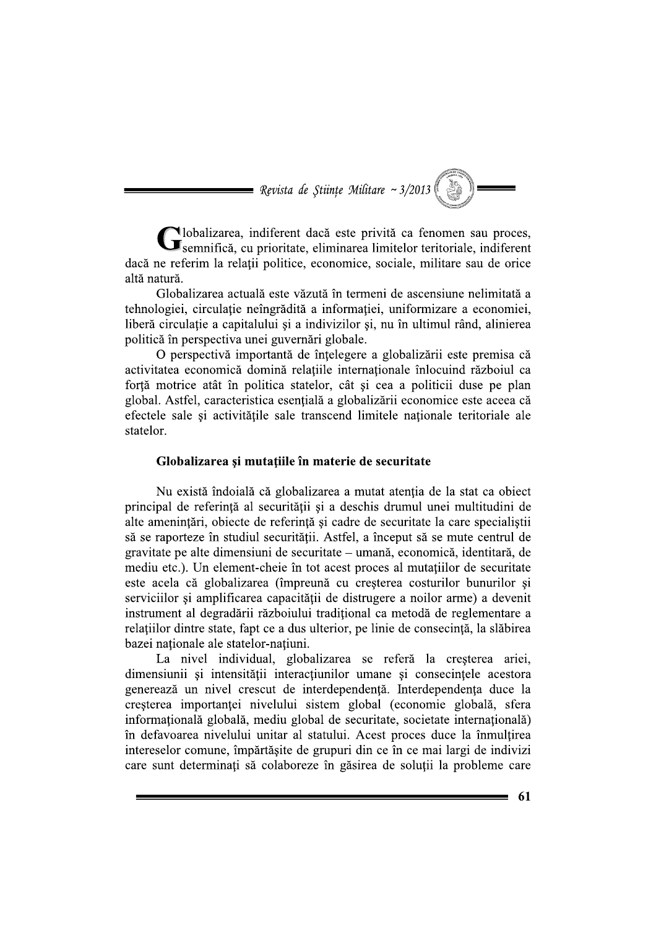**Nevista de Științe Militare ~ 3/2013** 

lobalizarea, indiferent dacă este privită ca fenomen sau proces, Semnifică, cu prioritate, eliminarea limitelor teritoriale, indiferent daçă ne referim la relatii politice, economice, sociale, militare sau de orice altă natură.

Globalizarea actuală este văzută în termeni de ascensiune nelimitată a tehnologiei, circulatie neîngrădită a informatiei, uniformizare a economiei, liberă circulație a capitalului și a indivizilor și, nu în ultimul rând, alinierea politică în perspectiva unei guvernări globale.

O perspectivă importantă de înțelegere a globalizării este premisa că activitatea economică domină relatiile internationale înlocuind războiul ca fortă motrice atât în politica statelor, cât și cea a politicii duse pe plan global. Astfel, caracteristica esențială a globalizării economice este aceea că efectele sale și activitățile sale transcend limitele naționale teritoriale ale statelor

#### Globalizarea și mutațiile în materie de securitate

Nu există îndoială că globalizarea a mutat atenția de la stat ca obiect principal de referintă al securității și a deschis drumul unei multitudini de alte amenintări, obiecte de referință și cadre de securitate la care specialistii să se raporteze în studiul securității. Astfel, a început să se mute centrul de gravitate pe alte dimensiuni de securitate – umană, economică, identitară, de mediu etc.). Un element-cheie în tot acest proces al mutațiilor de securitate este acela că globalizarea (împreună cu creșterea costurilor bunurilor și serviciilor și amplificarea capacității de distrugere a noilor arme) a devenit instrument al degradării războiului traditional ca metodă de reglementare a relațiilor dintre state, fapt ce a dus ulterior, pe linie de consecință, la slăbirea bazei nationale ale statelor-natiuni.

La nivel individual, globalizarea se referă la cresterea ariei, dimensiunii și intensității interacțiunilor umane și consecințele acestora generează un nivel crescut de interdependentă. Interdependenta duce la creșterea importanței nivelului sistem global (economie globală, sfera informatională globală, mediu global de securitate, societate internatională) în defavoarea nivelului unitar al statului. Acest proces duce la înmultirea intereselor comune, împărtășite de grupuri din ce în ce mai largi de indivizi care sunt determinați să colaboreze în găsirea de soluții la probleme care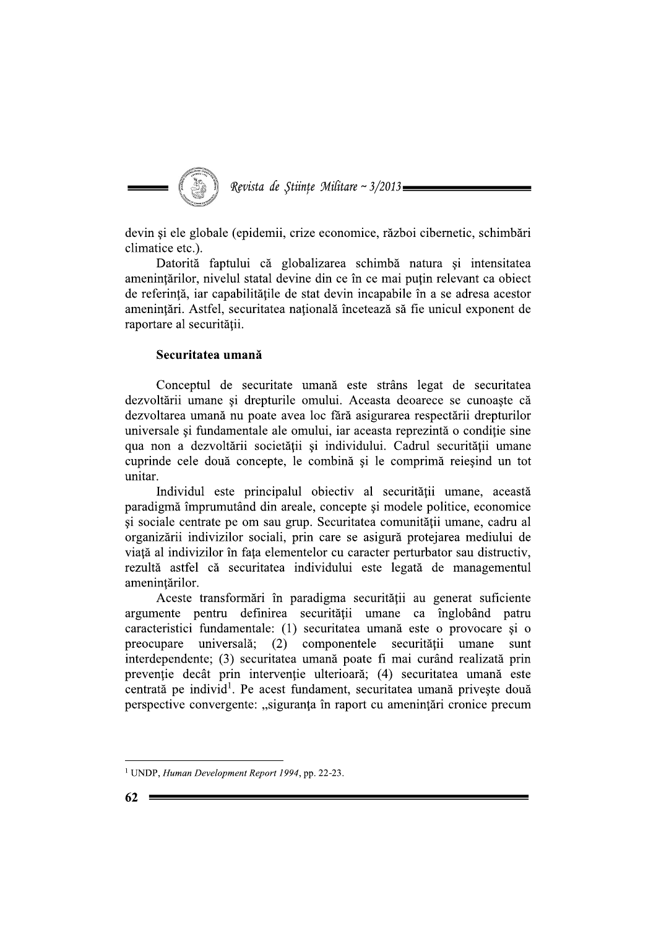

devin și ele globale (epidemii, crize economice, război cibernetic, schimbări climatice etc.).

Datorită faptului că globalizarea schimbă natura și intensitatea amenintărilor, nivelul statal devine din ce în ce mai putin relevant ca obiect de referință, iar capabilitățile de stat devin incapabile în a se adresa acestor amenintări. Astfel, securitatea natională încetează să fie unicul exponent de raportare al securității.

### Securitatea umană

Conceptul de securitate umană este strâns legat de securitatea dezvoltării umane și drepturile omului. Aceasta deoarece se cunoaște că dezvoltarea umană nu poate avea loc fără asigurarea respectării drepturilor universale si fundamentale ale omului, iar aceasta reprezintă o conditie sine qua non a dezvoltării societății și individului. Cadrul securității umane cuprinde cele două concepte, le combină și le comprimă reieșind un tot unitar.

Individul este principalul obiectiv al securității umane, această paradigmă împrumutând din areale, concepte și modele politice, economice și sociale centrate pe om sau grup. Securitatea comunității umane, cadru al organizării indivizilor sociali, prin care se asigură protejarea mediului de viață al indivizilor în fața elementelor cu caracter perturbator sau distructiv, rezultă astfel că securitatea individului este legată de managementul amenintărilor.

Aceste transformări în paradigma securității au generat suficiente argumente pentru definirea securității umane ca înglobând patru caracteristici fundamentale: (1) securitatea umană este o provocare și o preocupare universală; (2) componentele securității umane sunt interdependente; (3) securitatea umană poate fi mai curând realizată prin prevenție decât prin intervenție ulterioară; (4) securitatea umană este centrată pe individ<sup>1</sup>. Pe acest fundament, securitatea umană privește două perspective convergente: "siguranța în raport cu amenințări cronice precum

<sup>&</sup>lt;sup>1</sup> UNDP, Human Development Report 1994, pp. 22-23.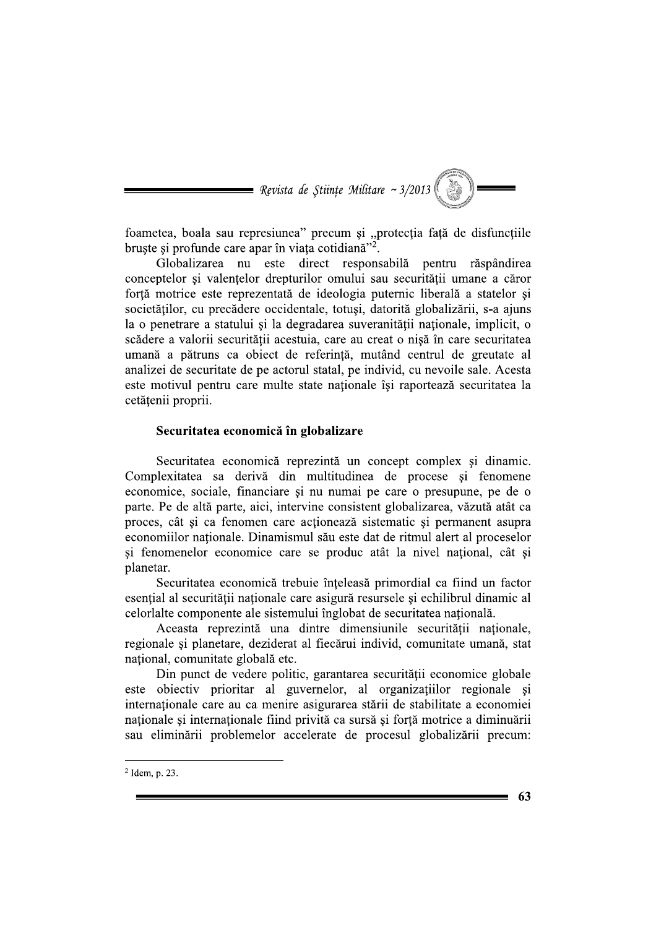

foametea, boala sau represiunea" precum și "protecția față de disfuncțiile bruste si profunde care apar în viata cotidiană"<sup>2</sup>.

Globalizarea nu este direct responsabilă pentru răspândirea conceptelor si valentelor drepturilor omului sau securității umane a căror forță motrice este reprezentată de ideologia puternic liberală a statelor și societătilor, cu precădere occidentale, totusi, datorită globalizării, s-a aiuns la o penetrare a statului si la degradarea suveranitătii nationale, implicit, o scădere a valorii securității acestuia, care au creat o nișă în care securitatea umană a pătruns ca obiect de referință, mutând centrul de greutate al analizei de securitate de pe actorul statal, pe individ, cu nevoile sale. Acesta este motivul pentru care multe state nationale îsi raportează securitatea la cetățenii proprii.

### Securitatea economică în globalizare

Securitatea economică reprezintă un concept complex si dinamic. Complexitatea sa derivă din multitudinea de procese și fenomene economice, sociale, financiare și nu numai pe care o presupune, pe de o parte. Pe de altă parte, aici, intervine consistent globalizarea, văzută atât ca proces, cât și ca fenomen care acționează sistematic și permanent asupra economiilor nationale. Dinamismul său este dat de ritmul alert al proceselor și fenomenelor economice care se produc atât la nivel național, cât și planetar.

Securitatea economică trebuie înțeleasă primordial ca fiind un factor esențial al securității naționale care asigură resursele și echilibrul dinamic al celorlalte componente ale sistemului înglobat de securitatea natională.

Aceasta reprezintă una dintre dimensiunile securității naționale, regionale și planetare, deziderat al fiecărui individ, comunitate umană, stat national, comunitate globală etc.

Din punct de vedere politic, garantarea securității economice globale este objectiv prioritar al guvernelor, al organizatiilor regionale si internaționale care au ca menire asigurarea stării de stabilitate a economiei nationale si internationale fiind privită ca sursă și forță motrice a diminuării sau eliminării problemelor accelerate de procesul globalizării precum:

 $2$  Idem, p. 23.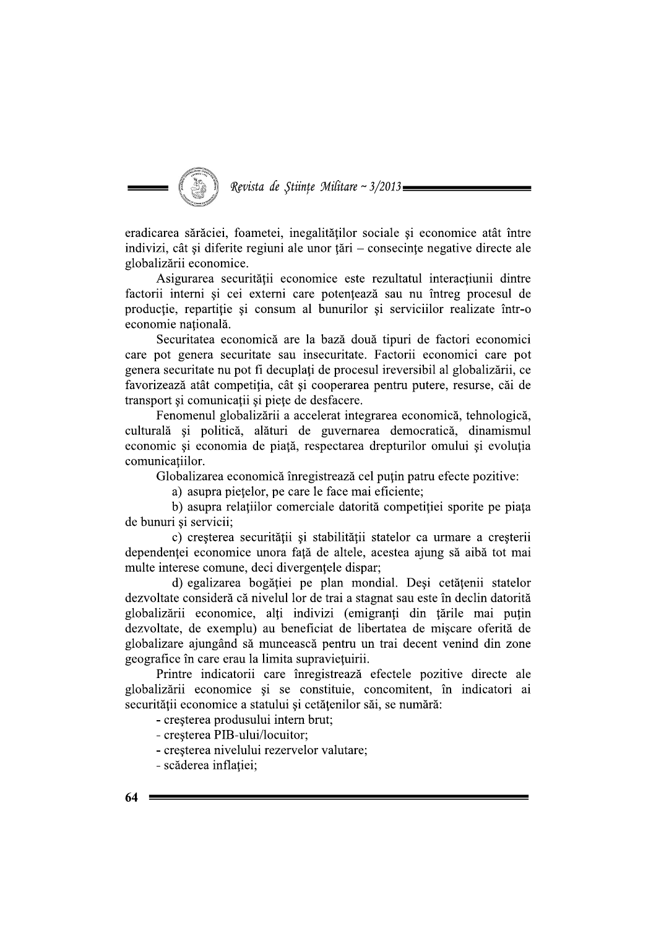

eradicarea sărăciei, foametei, inegalităților sociale și economice atât între indivizi, cât și diferite regiuni ale unor tări – consecinte negative directe ale globalizării economice.

Asigurarea securității economice este rezultatul interacțiunii dintre factorii interni și cei externi care potențează sau nu întreg procesul de productie, repartitie si consum al bunurilor si serviciilor realizate într-o economie natională.

Securitatea economică are la bază două tipuri de factori economici care pot genera securitate sau insecuritate. Factorii economici care pot genera securitate nu pot fi decuplați de procesul ireversibil al globalizării, ce favorizează atât competitia, cât și cooperarea pentru putere, resurse, căi de transport și comunicații și piețe de desfacere.

Fenomenul globalizării a accelerat integrarea economică, tehnologică, culturală și politică, alături de guvernarea democratică, dinamismul economic și economia de piață, respectarea drepturilor omului și evoluția comunicatiilor.

Globalizarea economică înregistrează cel puțin patru efecte pozitive:

a) asupra pietelor, pe care le face mai eficiente;

b) asupra relațiilor comerciale datorită competiției sporite pe piața de bunuri și servicii;

c) cresterea securității și stabilității statelor ca urmare a cresterii dependenței economice unora față de altele, acestea ajung să aibă tot mai multe interese comune, deci divergentele dispar;

d) egalizarea bogăției pe plan mondial. Deși cetățenii statelor dezvoltate consideră că nivelul lor de trai a stagnat sau este în declin datorită globalizării economice, alți indivizi (emigranți din țările mai puțin dezvoltate, de exemplu) au beneficiat de libertatea de mișcare oferită de globalizare ajungând să muncească pentru un trai decent venind din zone geografice în care erau la limita supravietuirii.

Printre indicatorii care înregistrează efectele pozitive directe ale globalizării economice și se constituie, concomitent, în indicatori ai securității economice a statului și cetățenilor săi, se numără:

- cresterea produsului intern brut;

- cresterea PIB-ului/locuitor:
- cresterea nivelului rezervelor valutare;
- scăderea inflației;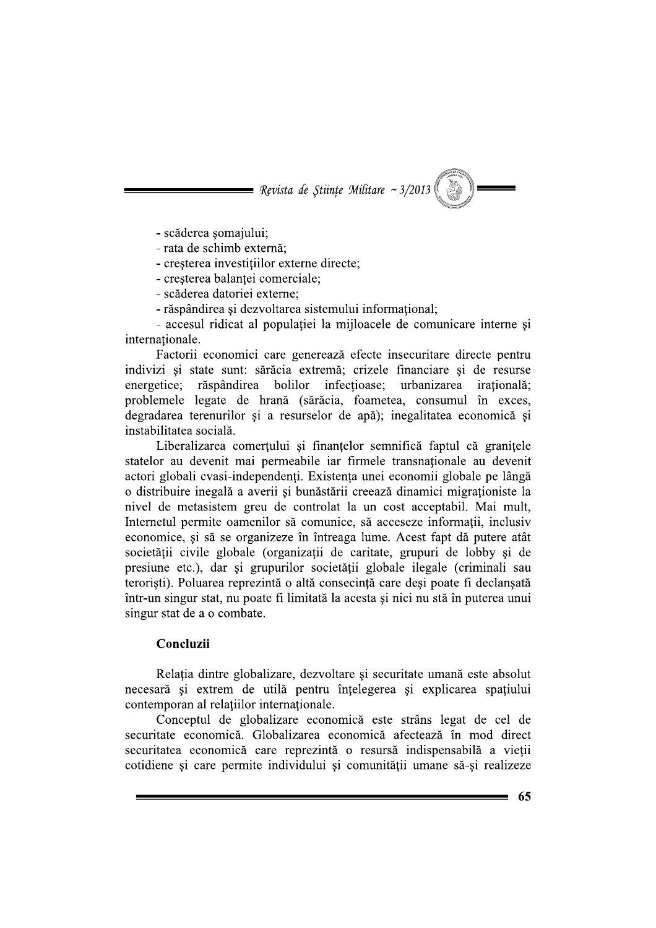**Nevista de Stiințe Militare ~ 3/2013** 

- scăderea șomajului;

- rata de schimb externă:
- cresterea investitiilor externe directe:
- cresterea balantei comerciale;
- scăderea datoriei externe;
- răspândirea și dezvoltarea sistemului informational:

- accesul ridicat al populatiei la mijloacele de comunicare interne si internationale.

Factorii economici care generează efecte insecuritare directe pentru indivizi și state sunt: sărăcia extremă; crizele financiare și de resurse energetice: răspândirea bolilor infectioase; urbanizarea *iratională*: problemele legate de hrană (sărăcia, foametea, consumul în exces, degradarea terenurilor și a resurselor de apă); inegalitatea economică și instabilitatea socială.

Liberalizarea comerțului și finanțelor semnifică faptul că granițele statelor au devenit mai permeabile iar firmele transnaționale au devenit actori globali cvasi-independenți. Existența unei economii globale pe lângă o distribuire inegală a averii și bunăstării creează dinamici migraționiste la nivel de metasistem greu de controlat la un cost acceptabil. Mai mult, Internetul permite oamenilor să comunice, să acceseze informații, inclusiv economice, si să se organizeze în întreaga lume. Acest fapt dă putere atât societății civile globale (organizații de caritate, grupuri de lobby și de presiune etc.), dar si grupurilor societății globale ilegale (criminali sau teroriști). Poluarea reprezintă o altă consecință care deși poate fi declanșată într-un singur stat, nu poate fi limitată la acesta și nici nu stă în puterea unui singur stat de a o combate.

#### Concluzii

Relația dintre globalizare, dezvoltare și securitate umană este absolut necesară și extrem de utilă pentru înțelegerea și explicarea spațiului contemporan al relațiilor internaționale.

Conceptul de globalizare economică este strâns legat de cel de securitate economică. Globalizarea economică afectează în mod direct securitatea economică care reprezintă o resursă indispensabilă a vieții cotidiene și care permite individului și comunității umane să-și realizeze